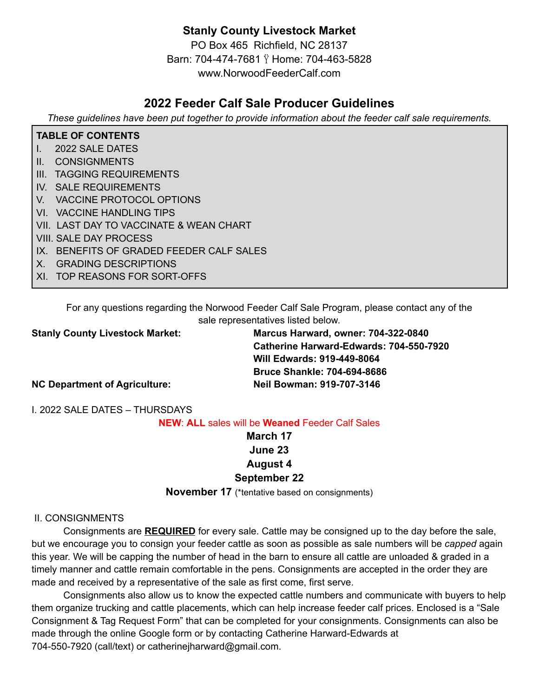# **Stanly County Livestock Market**

PO Box 465 Richfield, NC 28137 Barn: 704-474-7681 Home: 704-463-5828 www.NorwoodFeederCalf.com

# **2022 Feeder Calf Sale Producer Guidelines**

*These guidelines have been put together to provide information about the feeder calf sale requirements.*

#### **TABLE OF CONTENTS**

- I. 2022 SALE DATES
- II. CONSIGNMENTS
- III. TAGGING REQUIREMENTS
- IV. SALE REQUIREMENTS
- V. VACCINE PROTOCOL OPTIONS
- VI. VACCINE HANDLING TIPS
- VII. LAST DAY TO VACCINATE & WEAN CHART
- VIII. SALE DAY PROCESS
- IX. BENEFITS OF GRADED FEEDER CALF SALES
- X. GRADING DESCRIPTIONS
- XI. TOP REASONS FOR SORT-OFFS

For any questions regarding the Norwood Feeder Calf Sale Program, please contact any of the sale representatives listed below.

**Stanly County Livestock Market: Marcus Harward, owner: 704-322-0840 Catherine Harward-Edwards: 704-550-7920 Will Edwards: 919-449-8064 Bruce Shankle: 704-694-8686**

**NC Department of Agriculture: Neil Bowman: 919-707-3146**

I. 2022 SALE DATES – THURSDAYS

**NEW**: **ALL** sales will be **Weaned** Feeder Calf Sales

# **March 17 June 23 August 4**

#### **September 22**

**November 17** (\*tentative based on consignments)

#### II. CONSIGNMENTS

Consignments are **REQUIRED** for every sale. Cattle may be consigned up to the day before the sale, but we encourage you to consign your feeder cattle as soon as possible as sale numbers will be *capped* again this year. We will be capping the number of head in the barn to ensure all cattle are unloaded & graded in a timely manner and cattle remain comfortable in the pens. Consignments are accepted in the order they are made and received by a representative of the sale as first come, first serve.

Consignments also allow us to know the expected cattle numbers and communicate with buyers to help them organize trucking and cattle placements, which can help increase feeder calf prices. Enclosed is a "Sale Consignment & Tag Request Form" that can be completed for your consignments. Consignments can also be made through the online Google form or by contacting Catherine Harward-Edwards at 704-550-7920 (call/text) or catherinejharward@gmail.com.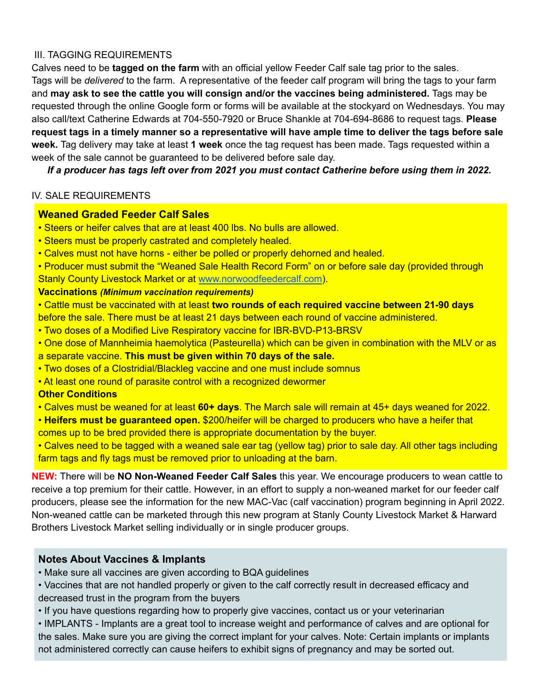#### III. TAGGING REQUIREMENTS

Calves need to be **tagged on the farm** with an official yellow Feeder Calf sale tag prior to the sales. Tags will be *delivered* to the farm. A representative of the feeder calf program will bring the tags to your farm and **may ask to see the cattle you will consign and/or the vaccines being administered.** Tags may be requested through the online Google form or forms will be available at the stockyard on Wednesdays. You may also call/text Catherine Edwards at 704-550-7920 or Bruce Shankle at 704-694-8686 to request tags. **Please** request tags in a timely manner so a representative will have ample time to deliver the tags before sale **week.** Tag delivery may take at least **1 week** once the tag request has been made. Tags requested within a week of the sale cannot be guaranteed to be delivered before sale day.

*If a producer has tags left over from 2021 you must contact Catherine before using them in 2022.*

#### IV. SALE REQUIREMENTS

## **Weaned Graded Feeder Calf Sales**

- Steers or heifer calves that are at least 400 lbs. No bulls are allowed.
- Steers must be properly castrated and completely healed.
- Calves must not have horns either be polled or properly dehorned and healed.
- Producer must submit the "Weaned Sale Health Record Form" on or before sale day (provided through Stanly County Livestock Market or at [www.norwoodfeedercalf.com](http://www.norwoodfeedercalf.com)).

#### **Vaccinations** *(Minimum vaccination requirements)*

- Cattle must be vaccinated with at least **two rounds of each required vaccine between 21-90 days** before the sale. There must be at least 21 days between each round of vaccine administered.
- Two doses of a Modified Live Respiratory vaccine for IBR-BVD-P13-BRSV
- One dose of Mannheimia haemolytica (Pasteurella) which can be given in combination with the MLV or as a separate vaccine. **This must be given within 70 days of the sale.**
- Two doses of a Clostridial/Blackleg vaccine and one must include somnus
- At least one round of parasite control with a recognized dewormer

#### **Other Conditions**

- Calves must be weaned for at least **60+ days**. The March sale will remain at 45+ days weaned for 2022.
- **Heifers must be guaranteed open.** \$200/heifer will be charged to producers who have a heifer that comes up to be bred provided there is appropriate documentation by the buyer.
- Calves need to be tagged with a weaned sale ear tag (yellow tag) prior to sale day. All other tags including farm tags and fly tags must be removed prior to unloading at the barn.

**NEW:** There will be **NO Non-Weaned Feeder Calf Sales** this year. We encourage producers to wean cattle to receive a top premium for their cattle. However, in an effort to supply a non-weaned market for our feeder calf producers, please see the information for the new MAC-Vac (calf vaccination) program beginning in April 2022. Non-weaned cattle can be marketed through this new program at Stanly County Livestock Market & Harward Brothers Livestock Market selling individually or in single producer groups.

## **Notes About Vaccines & Implants**

- Make sure all vaccines are given according to BQA guidelines
- Vaccines that are not handled properly or given to the calf correctly result in decreased efficacy and decreased trust in the program from the buyers
- If you have questions regarding how to properly give vaccines, contact us or your veterinarian
- IMPLANTS Implants are a great tool to increase weight and performance of calves and are optional for the sales. Make sure you are giving the correct implant for your calves. Note: Certain implants or implants not administered correctly can cause heifers to exhibit signs of pregnancy and may be sorted out.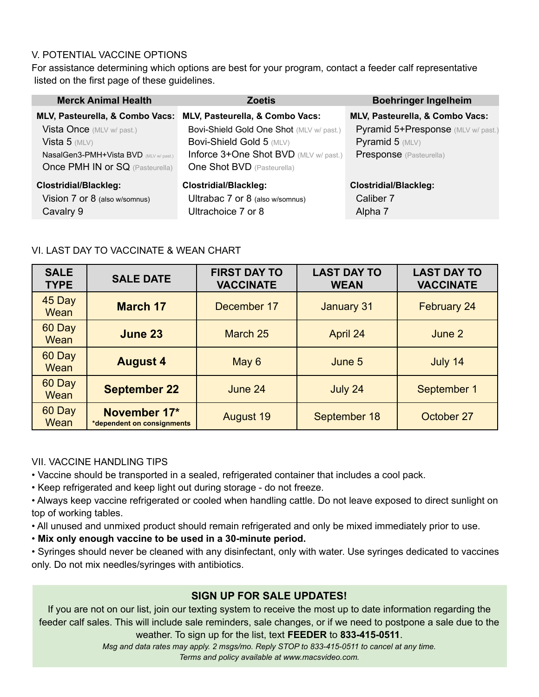## V. POTENTIAL VACCINE OPTIONS

For assistance determining which options are best for your program, contact a feeder calf representative listed on the first page of these guidelines.

| <b>Merck Animal Health</b>                                                                                                       | <b>Zoetis</b>                                                                                                                                      | <b>Boehringer Ingelheim</b>                                                               |  |
|----------------------------------------------------------------------------------------------------------------------------------|----------------------------------------------------------------------------------------------------------------------------------------------------|-------------------------------------------------------------------------------------------|--|
| MLV, Pasteurella, & Combo Vacs:                                                                                                  | MLV, Pasteurella, & Combo Vacs:                                                                                                                    | MLV, Pasteurella, & Combo Vacs:                                                           |  |
| Vista Once (MLV w/ past.)<br>Vista 5 $(MLV)$<br>NasalGen3-PMH+Vista BVD (MLV w/ past.)<br><b>Once PMH IN or SQ (Pasteurella)</b> | Bovi-Shield Gold One Shot (MLV w/ past.)<br>Bovi-Shield Gold 5 (MLV)<br>Inforce 3+One Shot BVD (MLV w/ past.)<br><b>One Shot BVD</b> (Pasteurella) | Pyramid 5+Presponse (MLV w/ past.)<br>Pyramid $5$ (MLV)<br><b>Presponse</b> (Pasteurella) |  |
| <b>Clostridial/Blackleg:</b><br>Vision 7 or 8 (also w/somnus)<br>Cavalry 9                                                       | <b>Clostridial/Blackleg:</b><br>Ultrabac 7 or 8 (also w/somnus)<br>Ultrachoice 7 or 8                                                              | <b>Clostridial/Blackleg:</b><br>Caliber 7<br>Alpha <sub>7</sub>                           |  |

## VI. LAST DAY TO VACCINATE & WEAN CHART

| <b>SALE</b><br><b>TYPE</b> | <b>SALE DATE</b>                           | <b>FIRST DAY TO</b><br><b>VACCINATE</b> | <b>LAST DAY TO</b><br><b>WEAN</b> | <b>LAST DAY TO</b><br><b>VACCINATE</b> |
|----------------------------|--------------------------------------------|-----------------------------------------|-----------------------------------|----------------------------------------|
| 45 Day<br>Wean             | <b>March 17</b>                            | December 17                             | January 31                        | <b>February 24</b>                     |
| 60 Day<br>Wean             | <b>June 23</b>                             | March 25                                | April 24                          | June 2                                 |
| 60 Day<br>Wean             | <b>August 4</b>                            | May 6                                   | June 5                            | July 14                                |
| 60 Day<br>Wean             | <b>September 22</b>                        | June 24                                 | July 24                           | September 1                            |
| 60 Day<br>Wean             | November 17*<br>*dependent on consignments | <b>August 19</b>                        | September 18                      | October 27                             |

## VII. VACCINE HANDLING TIPS

• Vaccine should be transported in a sealed, refrigerated container that includes a cool pack.

• Keep refrigerated and keep light out during storage - do not freeze.

• Always keep vaccine refrigerated or cooled when handling cattle. Do not leave exposed to direct sunlight on top of working tables.

• All unused and unmixed product should remain refrigerated and only be mixed immediately prior to use.

• **Mix only enough vaccine to be used in a 30-minute period.**

• Syringes should never be cleaned with any disinfectant, only with water. Use syringes dedicated to vaccines only. Do not mix needles/syringes with antibiotics.

# **SIGN UP FOR SALE UPDATES!**

If you are not on our list, join our texting system to receive the most up to date information regarding the feeder calf sales. This will include sale reminders, sale changes, or if we need to postpone a sale due to the weather. To sign up for the list, text **FEEDER** to **833-415-0511**.

> *Msg and data rates may apply. 2 msgs/mo. Reply STOP to 833-415-0511 to cancel at any time. Terms and policy available at www.macsvideo.com.*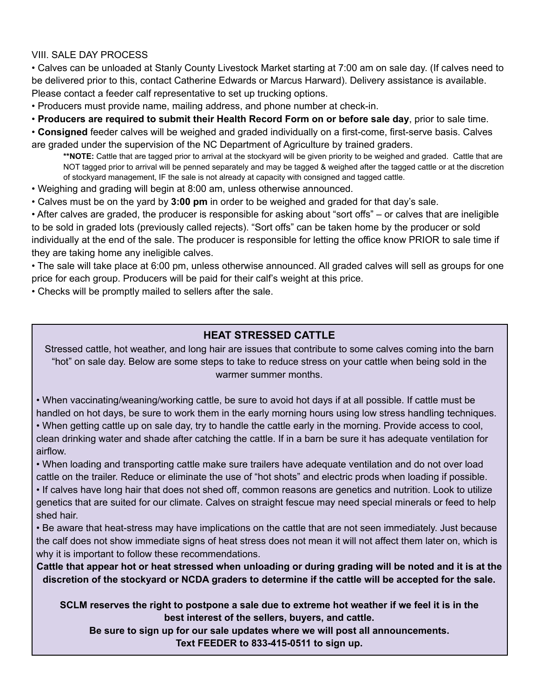## VIII. SALE DAY PROCESS

• Calves can be unloaded at Stanly County Livestock Market starting at 7:00 am on sale day. (If calves need to be delivered prior to this, contact Catherine Edwards or Marcus Harward). Delivery assistance is available. Please contact a feeder calf representative to set up trucking options.

• Producers must provide name, mailing address, and phone number at check-in.

• **Producers are required to submit their Health Record Form on or before sale day**, prior to sale time.

• **Consigned** feeder calves will be weighed and graded individually on a first-come, first-serve basis. Calves are graded under the supervision of the NC Department of Agriculture by trained graders.

**\*\*NOTE:** Cattle that are tagged prior to arrival at the stockyard will be given priority to be weighed and graded. Cattle that are NOT tagged prior to arrival will be penned separately and may be tagged & weighed after the tagged cattle or at the discretion of stockyard management, IF the sale is not already at capacity with consigned and tagged cattle.

• Weighing and grading will begin at 8:00 am, unless otherwise announced.

• Calves must be on the yard by **3:00 pm** in order to be weighed and graded for that day's sale.

• After calves are graded, the producer is responsible for asking about "sort offs" – or calves that are ineligible to be sold in graded lots (previously called rejects). "Sort offs" can be taken home by the producer or sold individually at the end of the sale. The producer is responsible for letting the office know PRIOR to sale time if they are taking home any ineligible calves.

• The sale will take place at 6:00 pm, unless otherwise announced. All graded calves will sell as groups for one price for each group. Producers will be paid for their calf's weight at this price.

• Checks will be promptly mailed to sellers after the sale.

# **HEAT STRESSED CATTLE**

Stressed cattle, hot weather, and long hair are issues that contribute to some calves coming into the barn "hot" on sale day. Below are some steps to take to reduce stress on your cattle when being sold in the warmer summer months.

• When vaccinating/weaning/working cattle, be sure to avoid hot days if at all possible. If cattle must be handled on hot days, be sure to work them in the early morning hours using low stress handling techniques.

• When getting cattle up on sale day, try to handle the cattle early in the morning. Provide access to cool, clean drinking water and shade after catching the cattle. If in a barn be sure it has adequate ventilation for airflow.

• When loading and transporting cattle make sure trailers have adequate ventilation and do not over load cattle on the trailer. Reduce or eliminate the use of "hot shots" and electric prods when loading if possible.

• If calves have long hair that does not shed off, common reasons are genetics and nutrition. Look to utilize genetics that are suited for our climate. Calves on straight fescue may need special minerals or feed to help shed hair.

• Be aware that heat-stress may have implications on the cattle that are not seen immediately. Just because the calf does not show immediate signs of heat stress does not mean it will not affect them later on, which is why it is important to follow these recommendations.

Cattle that appear hot or heat stressed when unloading or during grading will be noted and it is at the discretion of the stockyard or NCDA graders to determine if the cattle will be accepted for the sale.

SCLM reserves the right to postpone a sale due to extreme hot weather if we feel it is in the **best interest of the sellers, buyers, and cattle.**

**Be sure to sign up for our sale updates where we will post all announcements. Text FEEDER to 833-415-0511 to sign up.**